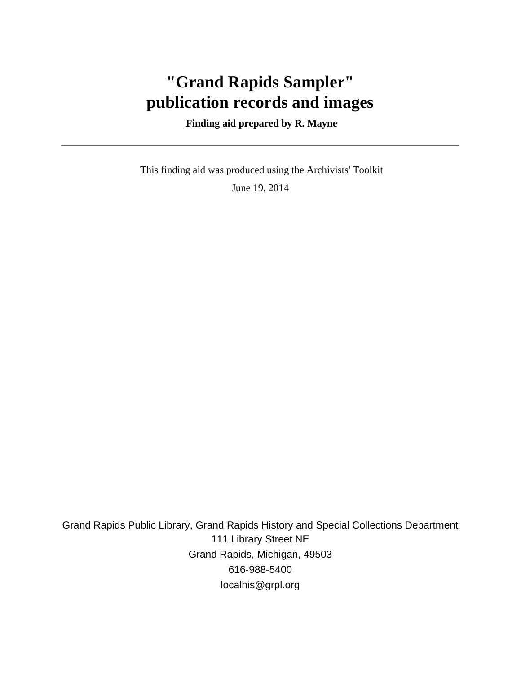# **"Grand Rapids Sampler" publication records and images**

### **Finding aid prepared by R. Mayne**

 This finding aid was produced using the Archivists' Toolkit June 19, 2014

Grand Rapids Public Library, Grand Rapids History and Special Collections Department 111 Library Street NE Grand Rapids, Michigan, 49503 616-988-5400 localhis@grpl.org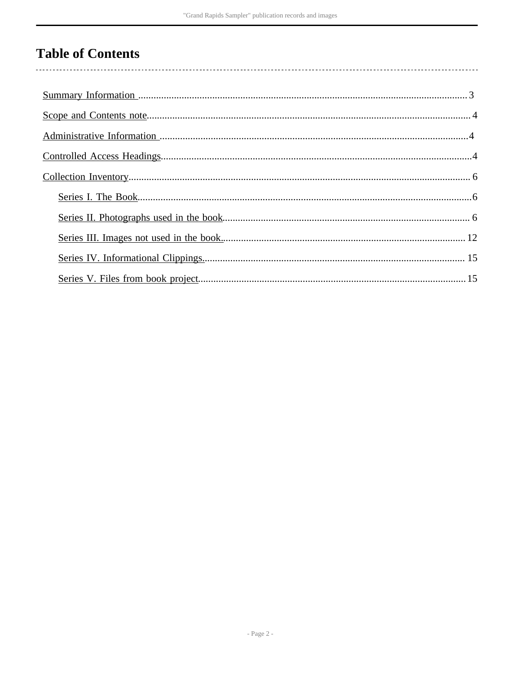# **Table of Contents**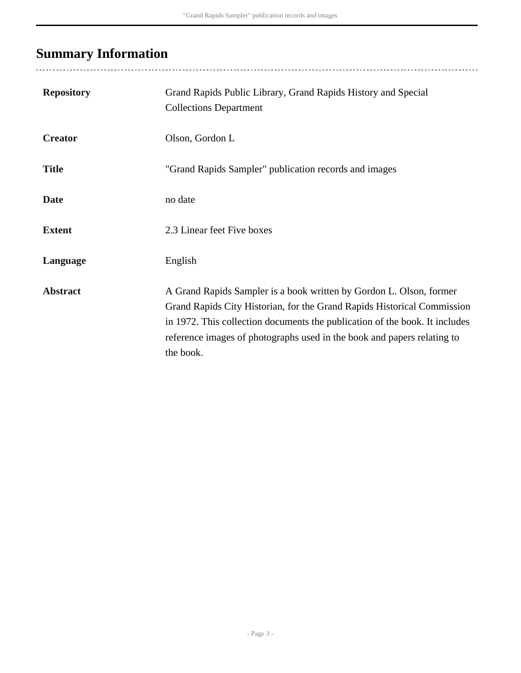# <span id="page-2-0"></span>**Summary Information**

| <b>Repository</b> | Grand Rapids Public Library, Grand Rapids History and Special<br><b>Collections Department</b>                                                                                                                                                                                                                        |
|-------------------|-----------------------------------------------------------------------------------------------------------------------------------------------------------------------------------------------------------------------------------------------------------------------------------------------------------------------|
| <b>Creator</b>    | Olson, Gordon L                                                                                                                                                                                                                                                                                                       |
| <b>Title</b>      | "Grand Rapids Sampler" publication records and images                                                                                                                                                                                                                                                                 |
| <b>Date</b>       | no date                                                                                                                                                                                                                                                                                                               |
| <b>Extent</b>     | 2.3 Linear feet Five boxes                                                                                                                                                                                                                                                                                            |
| Language          | English                                                                                                                                                                                                                                                                                                               |
| <b>Abstract</b>   | A Grand Rapids Sampler is a book written by Gordon L. Olson, former<br>Grand Rapids City Historian, for the Grand Rapids Historical Commission<br>in 1972. This collection documents the publication of the book. It includes<br>reference images of photographs used in the book and papers relating to<br>the book. |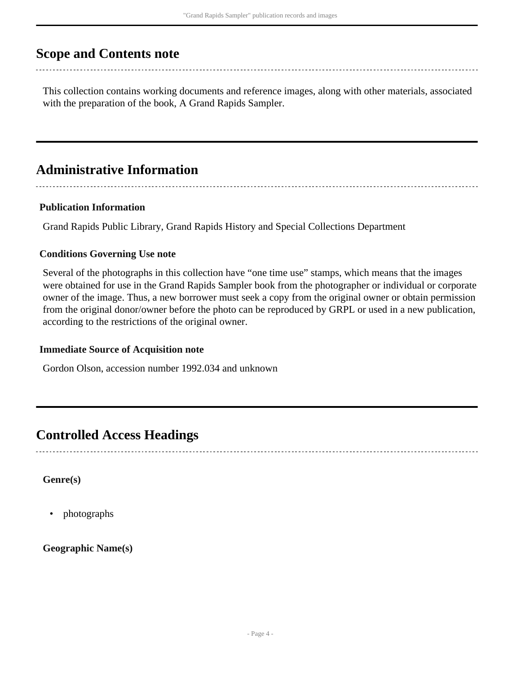## <span id="page-3-0"></span>**Scope and Contents note**

This collection contains working documents and reference images, along with other materials, associated with the preparation of the book, A Grand Rapids Sampler.

## <span id="page-3-1"></span>**Administrative Information**

### **Publication Information**

Grand Rapids Public Library, Grand Rapids History and Special Collections Department

### **Conditions Governing Use note**

Several of the photographs in this collection have "one time use" stamps, which means that the images were obtained for use in the Grand Rapids Sampler book from the photographer or individual or corporate owner of the image. Thus, a new borrower must seek a copy from the original owner or obtain permission from the original donor/owner before the photo can be reproduced by GRPL or used in a new publication, according to the restrictions of the original owner.

### **Immediate Source of Acquisition note**

Gordon Olson, accession number 1992.034 and unknown

## <span id="page-3-2"></span>**Controlled Access Headings**

**Genre(s)**

• photographs

**Geographic Name(s)**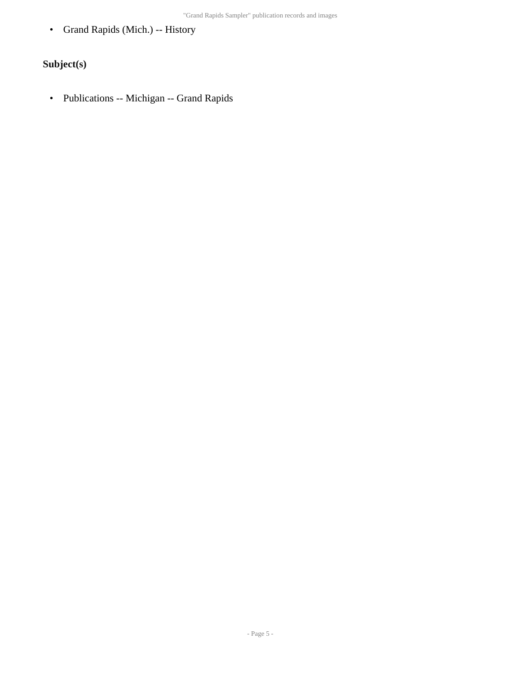• Grand Rapids (Mich.) -- History

### **Subject(s)**

• Publications -- Michigan -- Grand Rapids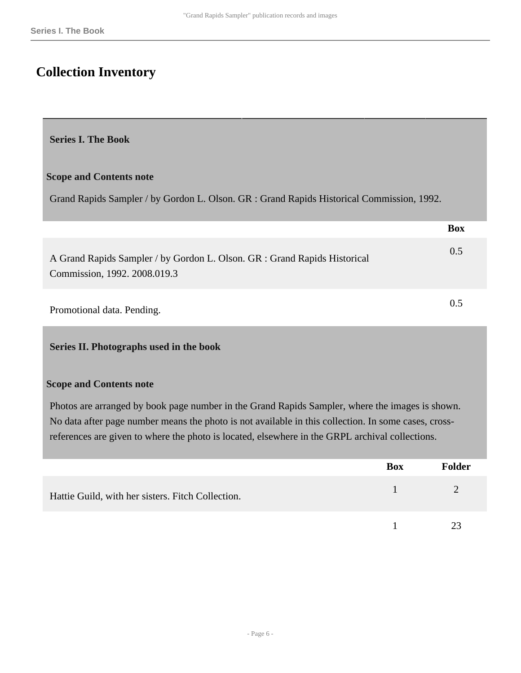# <span id="page-5-0"></span>**Collection Inventory**

### <span id="page-5-1"></span>**Series I. The Book**

### **Scope and Contents note**

Grand Rapids Sampler / by Gordon L. Olson. GR : Grand Rapids Historical Commission, 1992.

|                                                                                                           | <b>Box</b> |
|-----------------------------------------------------------------------------------------------------------|------------|
| A Grand Rapids Sampler / by Gordon L. Olson. GR : Grand Rapids Historical<br>Commission, 1992. 2008.019.3 | 0.5        |
| Promotional data. Pending.                                                                                | 0.5        |

### <span id="page-5-2"></span>**Series II. Photographs used in the book**

#### **Scope and Contents note**

Photos are arranged by book page number in the Grand Rapids Sampler, where the images is shown. No data after page number means the photo is not available in this collection. In some cases, crossreferences are given to where the photo is located, elsewhere in the GRPL archival collections.

|                                                   | Box | <b>Folder</b> |
|---------------------------------------------------|-----|---------------|
| Hattie Guild, with her sisters. Fitch Collection. |     |               |
|                                                   |     | 23            |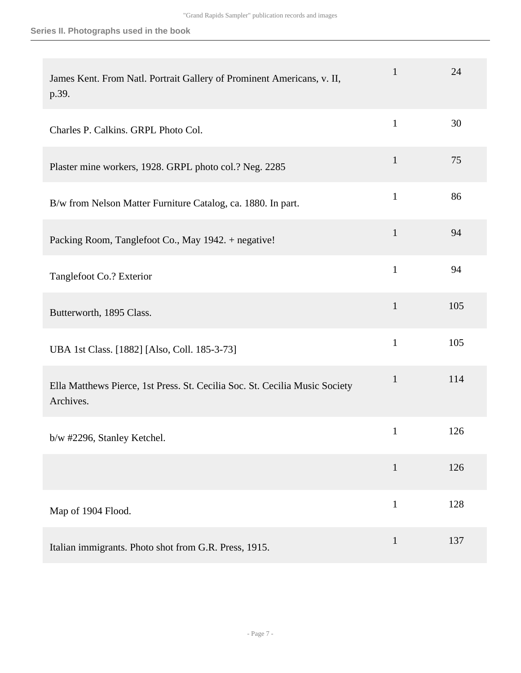| James Kent. From Natl. Portrait Gallery of Prominent Americans, v. II,<br>p.39.          | $\mathbf{1}$ | 24  |
|------------------------------------------------------------------------------------------|--------------|-----|
| Charles P. Calkins. GRPL Photo Col.                                                      | $\mathbf{1}$ | 30  |
| Plaster mine workers, 1928. GRPL photo col.? Neg. 2285                                   | $\mathbf{1}$ | 75  |
| B/w from Nelson Matter Furniture Catalog, ca. 1880. In part.                             | $\mathbf{1}$ | 86  |
| Packing Room, Tanglefoot Co., May 1942. + negative!                                      | $\mathbf{1}$ | 94  |
| Tanglefoot Co.? Exterior                                                                 | $\mathbf{1}$ | 94  |
| Butterworth, 1895 Class.                                                                 | $\mathbf{1}$ | 105 |
| UBA 1st Class. [1882] [Also, Coll. 185-3-73]                                             | $\mathbf{1}$ | 105 |
| Ella Matthews Pierce, 1st Press. St. Cecilia Soc. St. Cecilia Music Society<br>Archives. | $\mathbf{1}$ | 114 |
| b/w #2296, Stanley Ketchel.                                                              | $\mathbf 1$  | 126 |
|                                                                                          | $\mathbf{1}$ | 126 |
| Map of 1904 Flood.                                                                       | $\mathbf{1}$ | 128 |
| Italian immigrants. Photo shot from G.R. Press, 1915.                                    | $\mathbf{1}$ | 137 |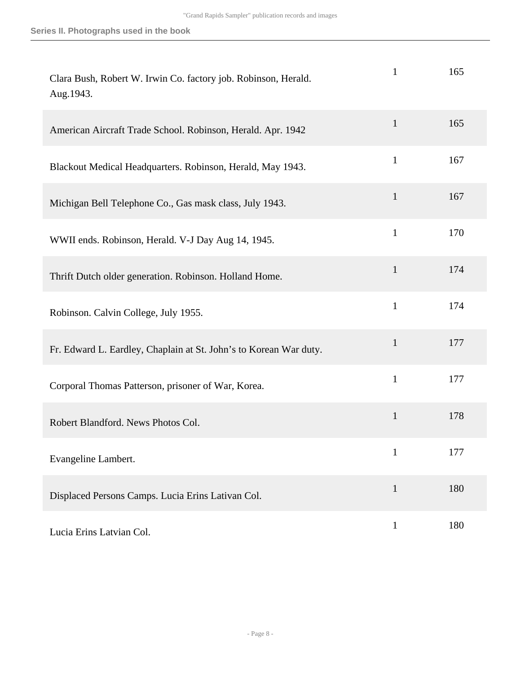| Clara Bush, Robert W. Irwin Co. factory job. Robinson, Herald.<br>Aug.1943. | 1            | 165 |
|-----------------------------------------------------------------------------|--------------|-----|
| American Aircraft Trade School. Robinson, Herald. Apr. 1942                 | $\mathbf{1}$ | 165 |
| Blackout Medical Headquarters. Robinson, Herald, May 1943.                  | $\mathbf{1}$ | 167 |
| Michigan Bell Telephone Co., Gas mask class, July 1943.                     | $\mathbf{1}$ | 167 |
| WWII ends. Robinson, Herald. V-J Day Aug 14, 1945.                          | $\mathbf{1}$ | 170 |
| Thrift Dutch older generation. Robinson. Holland Home.                      | $\mathbf{1}$ | 174 |
| Robinson. Calvin College, July 1955.                                        | $\mathbf{1}$ | 174 |
| Fr. Edward L. Eardley, Chaplain at St. John's to Korean War duty.           | $\mathbf{1}$ | 177 |
| Corporal Thomas Patterson, prisoner of War, Korea.                          | $\mathbf{1}$ | 177 |
| Robert Blandford. News Photos Col.                                          | $\mathbf{1}$ | 178 |
| Evangeline Lambert.                                                         | 1            | 177 |
| Displaced Persons Camps. Lucia Erins Lativan Col.                           | $\mathbf{1}$ | 180 |
| Lucia Erins Latvian Col.                                                    | $\mathbf{1}$ | 180 |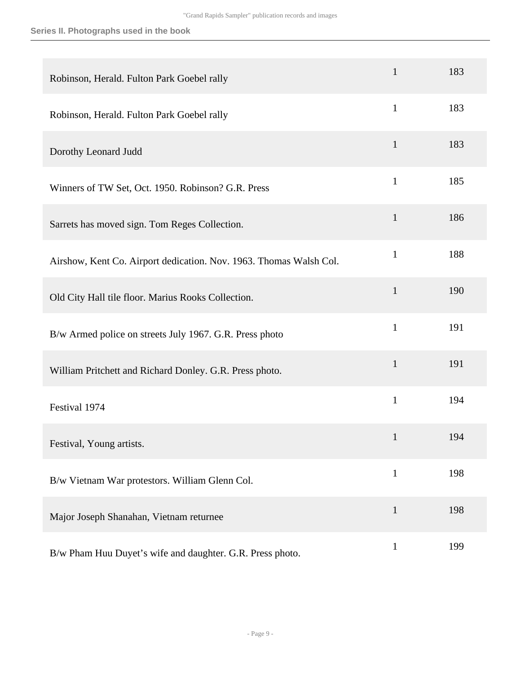| Robinson, Herald. Fulton Park Goebel rally                         | $\mathbf{1}$ | 183 |
|--------------------------------------------------------------------|--------------|-----|
| Robinson, Herald. Fulton Park Goebel rally                         | $\mathbf{1}$ | 183 |
| Dorothy Leonard Judd                                               | $\mathbf{1}$ | 183 |
| Winners of TW Set, Oct. 1950. Robinson? G.R. Press                 | $\mathbf{1}$ | 185 |
| Sarrets has moved sign. Tom Reges Collection.                      | $\mathbf{1}$ | 186 |
| Airshow, Kent Co. Airport dedication. Nov. 1963. Thomas Walsh Col. | $\mathbf{1}$ | 188 |
| Old City Hall tile floor. Marius Rooks Collection.                 | $\mathbf{1}$ | 190 |
| B/w Armed police on streets July 1967. G.R. Press photo            | $\mathbf{1}$ | 191 |
| William Pritchett and Richard Donley. G.R. Press photo.            | $\mathbf{1}$ | 191 |
| Festival 1974                                                      | $\mathbf{1}$ | 194 |
| Festival, Young artists.                                           | $\mathbf{1}$ | 194 |
| B/w Vietnam War protestors. William Glenn Col.                     | $\mathbf{1}$ | 198 |
| Major Joseph Shanahan, Vietnam returnee                            | $\mathbf{1}$ | 198 |
| B/w Pham Huu Duyet's wife and daughter. G.R. Press photo.          | $\mathbf{1}$ | 199 |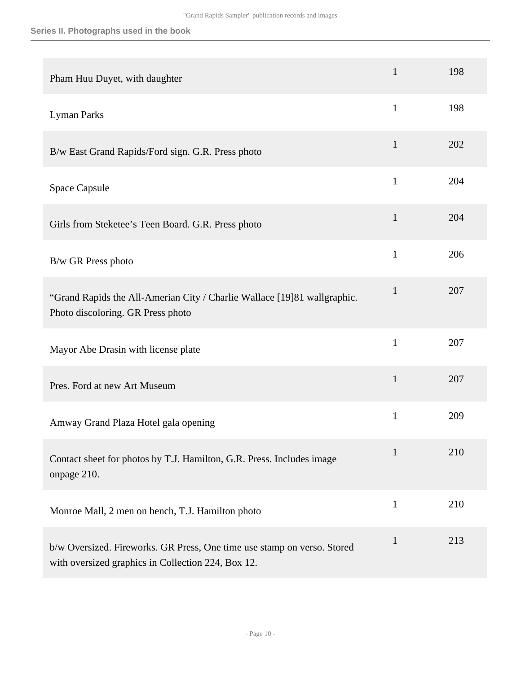### **Series II. Photographs used in the book**

| Pham Huu Duyet, with daughter                                                                                                 | $\mathbf{1}$ | 198 |
|-------------------------------------------------------------------------------------------------------------------------------|--------------|-----|
| Lyman Parks                                                                                                                   | $\mathbf{1}$ | 198 |
| B/w East Grand Rapids/Ford sign. G.R. Press photo                                                                             | 1            | 202 |
| Space Capsule                                                                                                                 | $\mathbf{1}$ | 204 |
| Girls from Steketee's Teen Board. G.R. Press photo                                                                            | $\mathbf{1}$ | 204 |
| B/w GR Press photo                                                                                                            | $\mathbf{1}$ | 206 |
| "Grand Rapids the All-Amerian City / Charlie Wallace [19]81 wallgraphic.<br>Photo discoloring. GR Press photo                 | $\mathbf{1}$ | 207 |
| Mayor Abe Drasin with license plate                                                                                           | $\mathbf{1}$ | 207 |
| Pres. Ford at new Art Museum                                                                                                  | $\mathbf{1}$ | 207 |
| Amway Grand Plaza Hotel gala opening                                                                                          | $\mathbf{1}$ | 209 |
| Contact sheet for photos by T.J. Hamilton, G.R. Press. Includes image<br>onpage 210.                                          | $\mathbf{1}$ | 210 |
| Monroe Mall, 2 men on bench, T.J. Hamilton photo                                                                              | $\mathbf{1}$ | 210 |
| b/w Oversized. Fireworks. GR Press, One time use stamp on verso. Stored<br>with oversized graphics in Collection 224, Box 12. | $\mathbf{1}$ | 213 |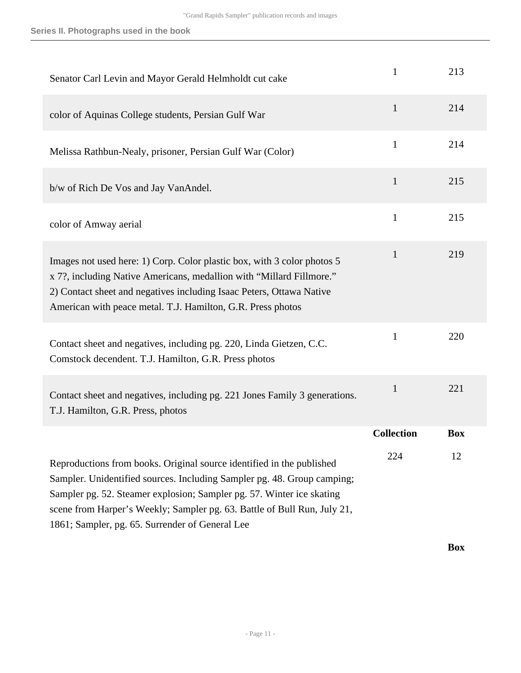| Senator Carl Levin and Mayor Gerald Helmholdt cut cake                                                                                                                                                                                                                                                                                                   | 1                 | 213        |
|----------------------------------------------------------------------------------------------------------------------------------------------------------------------------------------------------------------------------------------------------------------------------------------------------------------------------------------------------------|-------------------|------------|
| color of Aquinas College students, Persian Gulf War                                                                                                                                                                                                                                                                                                      | $\mathbf{1}$      | 214        |
| Melissa Rathbun-Nealy, prisoner, Persian Gulf War (Color)                                                                                                                                                                                                                                                                                                | $\mathbf{1}$      | 214        |
| b/w of Rich De Vos and Jay VanAndel.                                                                                                                                                                                                                                                                                                                     | $\mathbf{1}$      | 215        |
| color of Amway aerial                                                                                                                                                                                                                                                                                                                                    | $\mathbf{1}$      | 215        |
| Images not used here: 1) Corp. Color plastic box, with 3 color photos 5<br>x 7?, including Native Americans, medallion with "Millard Fillmore."<br>2) Contact sheet and negatives including Isaac Peters, Ottawa Native<br>American with peace metal. T.J. Hamilton, G.R. Press photos                                                                   | $\mathbf{1}$      | 219        |
| Contact sheet and negatives, including pg. 220, Linda Gietzen, C.C.<br>Comstock decendent. T.J. Hamilton, G.R. Press photos                                                                                                                                                                                                                              | $\mathbf{1}$      | 220        |
| Contact sheet and negatives, including pg. 221 Jones Family 3 generations.<br>T.J. Hamilton, G.R. Press, photos                                                                                                                                                                                                                                          | $\mathbf{1}$      | 221        |
|                                                                                                                                                                                                                                                                                                                                                          | <b>Collection</b> | <b>Box</b> |
| Reproductions from books. Original source identified in the published<br>Sampler. Unidentified sources. Including Sampler pg. 48. Group camping;<br>Sampler pg. 52. Steamer explosion; Sampler pg. 57. Winter ice skating<br>scene from Harper's Weekly; Sampler pg. 63. Battle of Bull Run, July 21,<br>1861; Sampler, pg. 65. Surrender of General Lee | 224               | 12         |

**Box**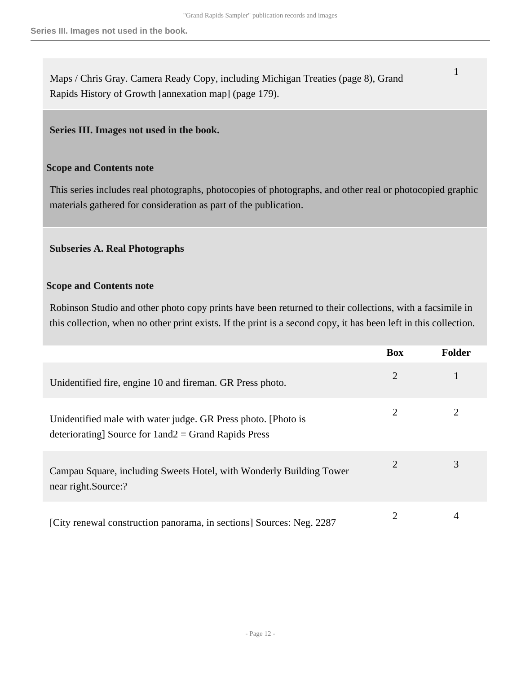Maps / Chris Gray. Camera Ready Copy, including Michigan Treaties (page 8), Grand Rapids History of Growth [annexation map] (page 179).

### <span id="page-11-0"></span>**Series III. Images not used in the book.**

### **Scope and Contents note**

This series includes real photographs, photocopies of photographs, and other real or photocopied graphic materials gathered for consideration as part of the publication.

### **Subseries A. Real Photographs**

### **Scope and Contents note**

Robinson Studio and other photo copy prints have been returned to their collections, with a facsimile in this collection, when no other print exists. If the print is a second copy, it has been left in this collection.

|                                                                                                                             | <b>Box</b> | <b>Folder</b> |
|-----------------------------------------------------------------------------------------------------------------------------|------------|---------------|
| Unidentified fire, engine 10 and fireman. GR Press photo.                                                                   | 2          |               |
| Unidentified male with water judge. GR Press photo. [Photo is<br>deteriorating] Source for $1$ and $2$ = Grand Rapids Press | 2          |               |
| Campau Square, including Sweets Hotel, with Wonderly Building Tower<br>near right.Source:?                                  | 2          | 3             |
| [City renewal construction panorama, in sections] Sources: Neg. 2287                                                        | 2          | 4             |

1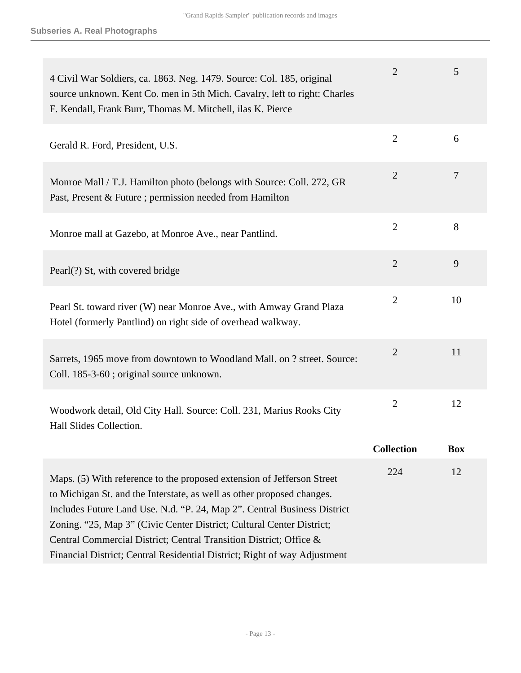| 4 Civil War Soldiers, ca. 1863. Neg. 1479. Source: Col. 185, original<br>source unknown. Kent Co. men in 5th Mich. Cavalry, left to right: Charles<br>F. Kendall, Frank Burr, Thomas M. Mitchell, ilas K. Pierce                                                                                                                                                                                                                                         | $\overline{2}$    | 5              |
|----------------------------------------------------------------------------------------------------------------------------------------------------------------------------------------------------------------------------------------------------------------------------------------------------------------------------------------------------------------------------------------------------------------------------------------------------------|-------------------|----------------|
| Gerald R. Ford, President, U.S.                                                                                                                                                                                                                                                                                                                                                                                                                          | $\overline{2}$    | 6              |
| Monroe Mall / T.J. Hamilton photo (belongs with Source: Coll. 272, GR<br>Past, Present & Future ; permission needed from Hamilton                                                                                                                                                                                                                                                                                                                        | $\overline{2}$    | $\overline{7}$ |
| Monroe mall at Gazebo, at Monroe Ave., near Pantlind.                                                                                                                                                                                                                                                                                                                                                                                                    | $\overline{2}$    | 8              |
| Pearl(?) St, with covered bridge                                                                                                                                                                                                                                                                                                                                                                                                                         | $\overline{2}$    | 9              |
| Pearl St. toward river (W) near Monroe Ave., with Amway Grand Plaza<br>Hotel (formerly Pantlind) on right side of overhead walkway.                                                                                                                                                                                                                                                                                                                      | $\overline{2}$    | 10             |
| Sarrets, 1965 move from downtown to Woodland Mall. on ? street. Source:<br>Coll. 185-3-60; original source unknown.                                                                                                                                                                                                                                                                                                                                      | $\overline{2}$    | 11             |
| Woodwork detail, Old City Hall. Source: Coll. 231, Marius Rooks City<br>Hall Slides Collection.                                                                                                                                                                                                                                                                                                                                                          | $\overline{2}$    | 12             |
|                                                                                                                                                                                                                                                                                                                                                                                                                                                          | <b>Collection</b> | <b>Box</b>     |
| Maps. (5) With reference to the proposed extension of Jefferson Street<br>to Michigan St. and the Interstate, as well as other proposed changes.<br>Includes Future Land Use. N.d. "P. 24, Map 2". Central Business District<br>Zoning. "25, Map 3" (Civic Center District; Cultural Center District;<br>Central Commercial District; Central Transition District; Office &<br>Financial District; Central Residential District; Right of way Adjustment | 224               | 12             |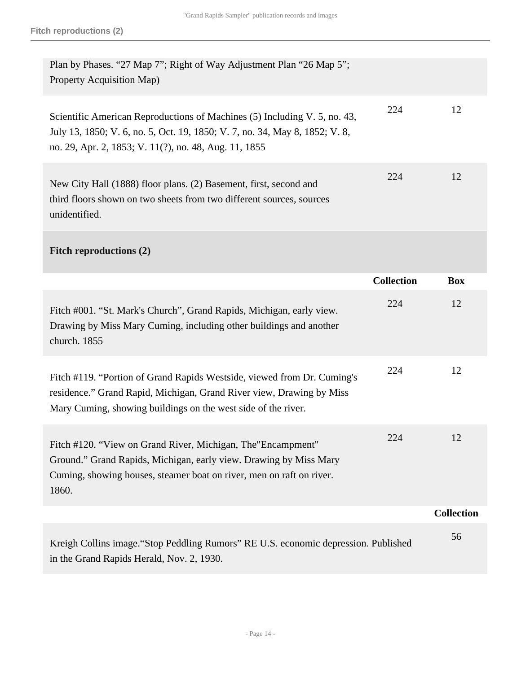| Plan by Phases. "27 Map 7"; Right of Way Adjustment Plan "26 Map 5";<br>Property Acquisition Map)                                                                                                                  |                   |                   |
|--------------------------------------------------------------------------------------------------------------------------------------------------------------------------------------------------------------------|-------------------|-------------------|
| Scientific American Reproductions of Machines (5) Including V. 5, no. 43,<br>July 13, 1850; V. 6, no. 5, Oct. 19, 1850; V. 7, no. 34, May 8, 1852; V. 8,<br>no. 29, Apr. 2, 1853; V. 11(?), no. 48, Aug. 11, 1855  | 224               | 12                |
| New City Hall (1888) floor plans. (2) Basement, first, second and<br>third floors shown on two sheets from two different sources, sources<br>unidentified.                                                         | 224               | 12                |
| <b>Fitch reproductions (2)</b>                                                                                                                                                                                     |                   |                   |
|                                                                                                                                                                                                                    | <b>Collection</b> | <b>Box</b>        |
| Fitch #001. "St. Mark's Church", Grand Rapids, Michigan, early view.<br>Drawing by Miss Mary Cuming, including other buildings and another<br>church. 1855                                                         | 224               | 12                |
| Fitch #119. "Portion of Grand Rapids Westside, viewed from Dr. Cuming's<br>residence." Grand Rapid, Michigan, Grand River view, Drawing by Miss<br>Mary Cuming, showing buildings on the west side of the river.   | 224               | 12                |
| Fitch #120. "View on Grand River, Michigan, The "Encampment"<br>Ground." Grand Rapids, Michigan, early view. Drawing by Miss Mary<br>Cuming, showing houses, steamer boat on river, men on raft on river.<br>1860. | 224               | 12                |
|                                                                                                                                                                                                                    |                   | <b>Collection</b> |
| Kreigh Collins image. "Stop Peddling Rumors" RE U.S. economic depression. Published<br>in the Grand Rapids Herald, Nov. 2, 1930.                                                                                   |                   | 56                |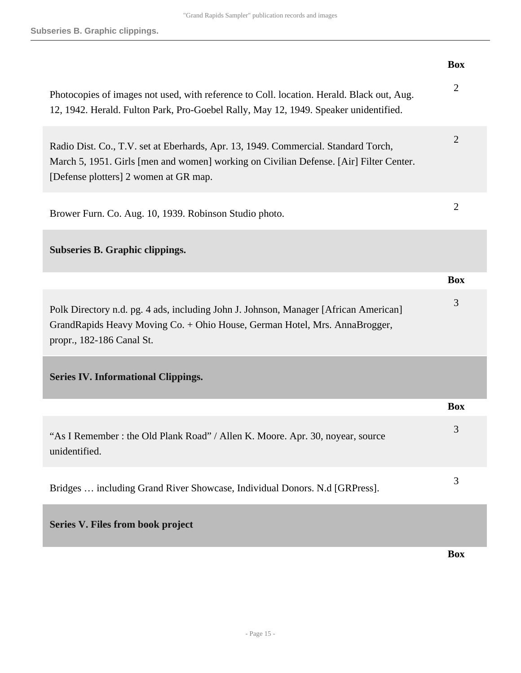<span id="page-14-1"></span><span id="page-14-0"></span>

|                                                                                                                                                                                                                       | <b>Box</b>     |
|-----------------------------------------------------------------------------------------------------------------------------------------------------------------------------------------------------------------------|----------------|
| Photocopies of images not used, with reference to Coll. location. Herald. Black out, Aug.<br>12, 1942. Herald. Fulton Park, Pro-Goebel Rally, May 12, 1949. Speaker unidentified.                                     | $\mathfrak{2}$ |
| Radio Dist. Co., T.V. set at Eberhards, Apr. 13, 1949. Commercial. Standard Torch,<br>March 5, 1951. Girls [men and women] working on Civilian Defense. [Air] Filter Center.<br>[Defense plotters] 2 women at GR map. | $\overline{2}$ |
| Brower Furn. Co. Aug. 10, 1939. Robinson Studio photo.                                                                                                                                                                | $\overline{2}$ |
| <b>Subseries B. Graphic clippings.</b>                                                                                                                                                                                |                |
|                                                                                                                                                                                                                       | <b>Box</b>     |
| Polk Directory n.d. pg. 4 ads, including John J. Johnson, Manager [African American]<br>GrandRapids Heavy Moving Co. + Ohio House, German Hotel, Mrs. AnnaBrogger,<br>propr., 182-186 Canal St.                       | 3              |
| <b>Series IV. Informational Clippings.</b>                                                                                                                                                                            |                |
|                                                                                                                                                                                                                       | <b>Box</b>     |
| "As I Remember: the Old Plank Road" / Allen K. Moore. Apr. 30, noyear, source<br>unidentified.                                                                                                                        | 3              |
| Bridges  including Grand River Showcase, Individual Donors. N.d [GRPress].                                                                                                                                            | 3              |
| Series V. Files from book project                                                                                                                                                                                     |                |
|                                                                                                                                                                                                                       | <b>Box</b>     |